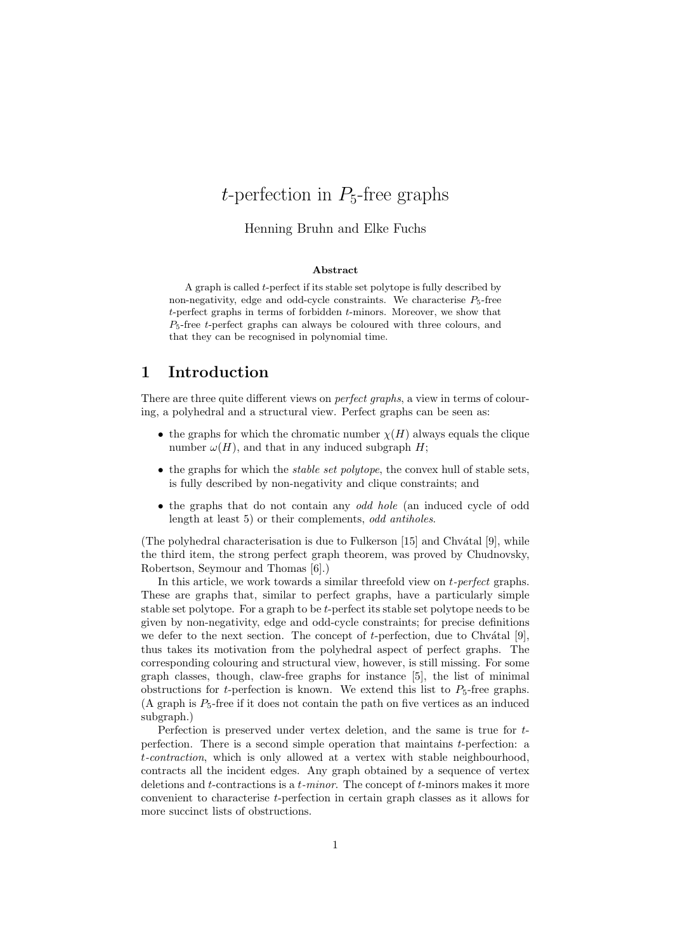# t-perfection in  $P_5$ -free graphs

#### Henning Bruhn and Elke Fuchs

#### Abstract

A graph is called t-perfect if its stable set polytope is fully described by non-negativity, edge and odd-cycle constraints. We characterise  $P_5$ -free t-perfect graphs in terms of forbidden t-minors. Moreover, we show that  $P_5$ -free  $t$ -perfect graphs can always be coloured with three colours, and that they can be recognised in polynomial time.

### 1 Introduction

There are three quite different views on *perfect graphs*, a view in terms of colouring, a polyhedral and a structural view. Perfect graphs can be seen as:

- the graphs for which the chromatic number  $\chi(H)$  always equals the clique number  $\omega(H)$ , and that in any induced subgraph H;
- $\bullet$  the graphs for which the *stable set polytope*, the convex hull of stable sets, is fully described by non-negativity and clique constraints; and
- the graphs that do not contain any odd hole (an induced cycle of odd length at least 5) or their complements, odd antiholes.

(The polyhedral characterisation is due to Fulkerson  $[15]$  and Chvátal  $[9]$ , while the third item, the strong perfect graph theorem, was proved by Chudnovsky, Robertson, Seymour and Thomas [6].)

In this article, we work towards a similar threefold view on t-perfect graphs. These are graphs that, similar to perfect graphs, have a particularly simple stable set polytope. For a graph to be t-perfect its stable set polytope needs to be given by non-negativity, edge and odd-cycle constraints; for precise definitions we defer to the next section. The concept of  $t$ -perfection, due to Chvátal [9], thus takes its motivation from the polyhedral aspect of perfect graphs. The corresponding colouring and structural view, however, is still missing. For some graph classes, though, claw-free graphs for instance [5], the list of minimal obstructions for t-perfection is known. We extend this list to  $P_5$ -free graphs. (A graph is  $P_5$ -free if it does not contain the path on five vertices as an induced subgraph.)

Perfection is preserved under vertex deletion, and the same is true for tperfection. There is a second simple operation that maintains t-perfection: a t-contraction, which is only allowed at a vertex with stable neighbourhood, contracts all the incident edges. Any graph obtained by a sequence of vertex deletions and  $t$ -contractions is a  $t$ -minor. The concept of  $t$ -minors makes it more convenient to characterise t-perfection in certain graph classes as it allows for more succinct lists of obstructions.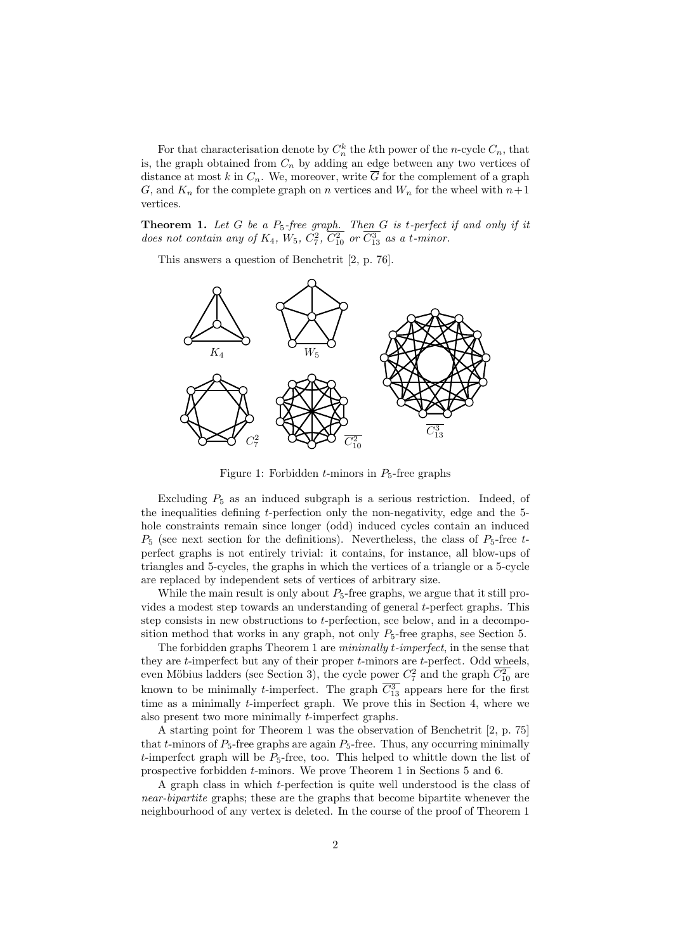For that characterisation denote by  $C_n^k$  the kth power of the n-cycle  $C_n$ , that is, the graph obtained from  $C_n$  by adding an edge between any two vertices of distance at most k in  $C_n$ . We, moreover, write  $\overline{G}$  for the complement of a graph G, and  $K_n$  for the complete graph on n vertices and  $W_n$  for the wheel with  $n+1$ vertices.

**Theorem 1.** Let G be a  $P_5$ -free graph. Then  $G$  is t-perfect if and only if it does not contain any of  $K_4$ ,  $W_5$ ,  $C_7^2$ ,  $\overline{C_{10}^2}$  or  $\overline{C_{13}^3}$  as a t-minor.

This answers a question of Benchetrit [2, p. 76].



Figure 1: Forbidden  $t$ -minors in  $P_5$ -free graphs

Excluding  $P_5$  as an induced subgraph is a serious restriction. Indeed, of the inequalities defining t-perfection only the non-negativity, edge and the 5 hole constraints remain since longer (odd) induced cycles contain an induced  $P_5$  (see next section for the definitions). Nevertheless, the class of  $P_5$ -free tperfect graphs is not entirely trivial: it contains, for instance, all blow-ups of triangles and 5-cycles, the graphs in which the vertices of a triangle or a 5-cycle are replaced by independent sets of vertices of arbitrary size.

While the main result is only about  $P_5$ -free graphs, we argue that it still provides a modest step towards an understanding of general t-perfect graphs. This step consists in new obstructions to t-perfection, see below, and in a decomposition method that works in any graph, not only  $P_5$ -free graphs, see Section 5.

The forbidden graphs Theorem 1 are minimally t-imperfect, in the sense that they are  $t$ -imperfect but any of their proper  $t$ -minors are  $t$ -perfect. Odd wheels, even Möbius ladders (see Section 3), the cycle power  $C_7^2$  and the graph  $\overline{C_{10}^2}$  are known to be minimally *t*-imperfect. The graph  $C_{13}^3$  appears here for the first time as a minimally t-imperfect graph. We prove this in Section 4, where we also present two more minimally t-imperfect graphs.

A starting point for Theorem 1 was the observation of Benchetrit [2, p. 75] that t-minors of  $P_5$ -free graphs are again  $P_5$ -free. Thus, any occurring minimally t-imperfect graph will be  $P_5$ -free, too. This helped to whittle down the list of prospective forbidden t-minors. We prove Theorem 1 in Sections 5 and 6.

A graph class in which t-perfection is quite well understood is the class of near-bipartite graphs; these are the graphs that become bipartite whenever the neighbourhood of any vertex is deleted. In the course of the proof of Theorem 1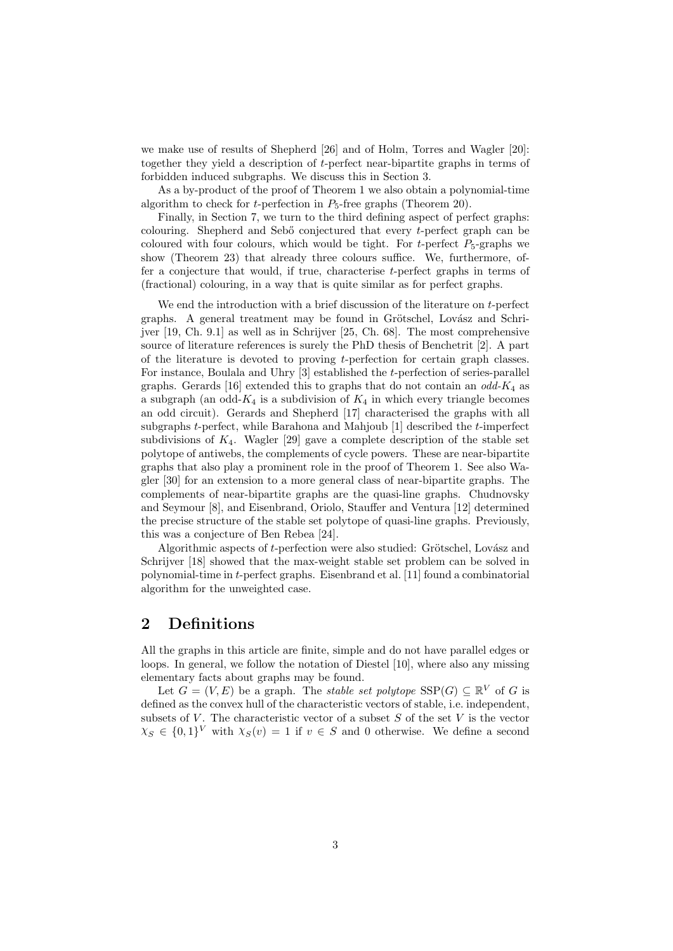we make use of results of Shepherd [26] and of Holm, Torres and Wagler [20]: together they yield a description of t-perfect near-bipartite graphs in terms of forbidden induced subgraphs. We discuss this in Section 3.

As a by-product of the proof of Theorem 1 we also obtain a polynomial-time algorithm to check for *t*-perfection in  $P_5$ -free graphs (Theorem 20).

Finally, in Section 7, we turn to the third defining aspect of perfect graphs: colouring. Shepherd and Seb<sup>"</sup> conjectured that every t-perfect graph can be coloured with four colours, which would be tight. For t-perfect  $P_5$ -graphs we show (Theorem 23) that already three colours suffice. We, furthermore, offer a conjecture that would, if true, characterise t-perfect graphs in terms of (fractional) colouring, in a way that is quite similar as for perfect graphs.

We end the introduction with a brief discussion of the literature on  $t$ -perfect graphs. A general treatment may be found in Grötschel, Lovász and Schrijver [19, Ch. 9.1] as well as in Schrijver [25, Ch. 68]. The most comprehensive source of literature references is surely the PhD thesis of Benchetrit [2]. A part of the literature is devoted to proving t-perfection for certain graph classes. For instance, Boulala and Uhry [3] established the t-perfection of series-parallel graphs. Gerards [16] extended this to graphs that do not contain an  $odd$ - $K_4$  as a subgraph (an odd- $K_4$  is a subdivision of  $K_4$  in which every triangle becomes an odd circuit). Gerards and Shepherd [17] characterised the graphs with all subgraphs  $t$ -perfect, while Barahona and Mahjoub [1] described the  $t$ -imperfect subdivisions of  $K_4$ . Wagler [29] gave a complete description of the stable set polytope of antiwebs, the complements of cycle powers. These are near-bipartite graphs that also play a prominent role in the proof of Theorem 1. See also Wagler [30] for an extension to a more general class of near-bipartite graphs. The complements of near-bipartite graphs are the quasi-line graphs. Chudnovsky and Seymour [8], and Eisenbrand, Oriolo, Stauffer and Ventura [12] determined the precise structure of the stable set polytope of quasi-line graphs. Previously, this was a conjecture of Ben Rebea [24].

Algorithmic aspects of  $t$ -perfection were also studied: Grötschel, Lovász and Schrijver [18] showed that the max-weight stable set problem can be solved in polynomial-time in t-perfect graphs. Eisenbrand et al. [11] found a combinatorial algorithm for the unweighted case.

## 2 Definitions

All the graphs in this article are finite, simple and do not have parallel edges or loops. In general, we follow the notation of Diestel [10], where also any missing elementary facts about graphs may be found.

Let  $G = (V, E)$  be a graph. The *stable set polytope*  $SSP(G) \subseteq \mathbb{R}^V$  of G is defined as the convex hull of the characteristic vectors of stable, i.e. independent, subsets of V. The characteristic vector of a subset  $S$  of the set V is the vector  $\chi_S \in \{0,1\}^V$  with  $\chi_S(v) = 1$  if  $v \in S$  and 0 otherwise. We define a second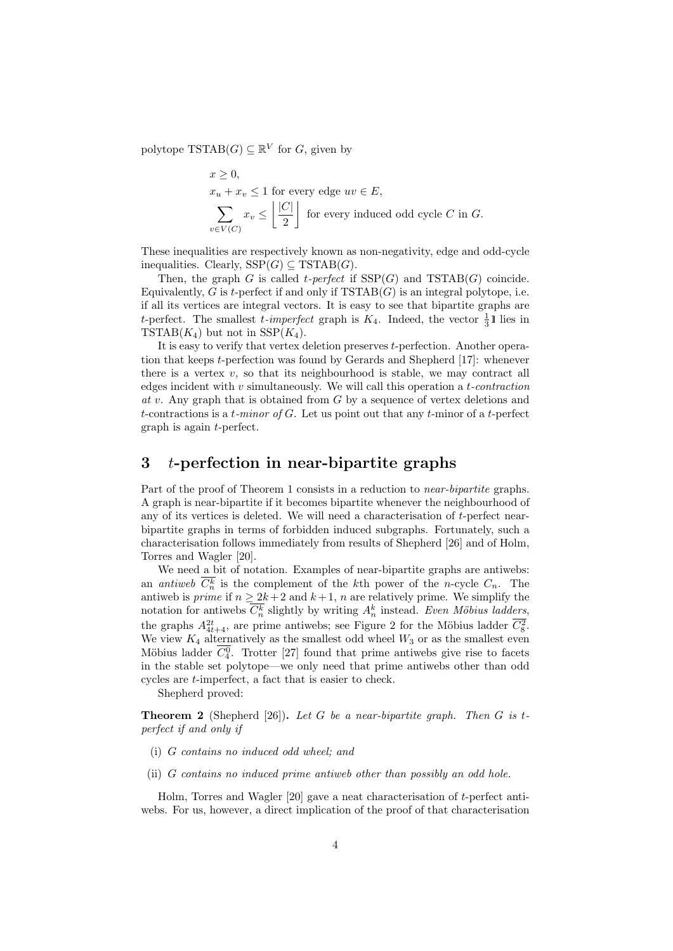polytope  $TSTAB(G) \subseteq \mathbb{R}^V$  for  $G$ , given by

$$
x \ge 0,
$$
  
\n
$$
x_u + x_v \le 1
$$
 for every edge  $uv \in E$ ,  
\n
$$
\sum_{v \in V(C)} x_v \le \left\lfloor \frac{|C|}{2} \right\rfloor
$$
 for every induced odd cycle C in G.

These inequalities are respectively known as non-negativity, edge and odd-cycle inequalities. Clearly,  $SSP(G) \subseteq TSTAB(G)$ .

Then, the graph G is called t-perfect if  $SSP(G)$  and  $TSTAB(G)$  coincide. Equivalently, G is t-perfect if and only if  $TSTAB(G)$  is an integral polytope, i.e. if all its vertices are integral vectors. It is easy to see that bipartite graphs are t-perfect. The smallest t-imperfect graph is  $K_4$ . Indeed, the vector  $\frac{1}{3}$ l lies in TSTAB $(K_4)$  but not in SSP $(K_4)$ .

It is easy to verify that vertex deletion preserves t-perfection. Another operation that keeps t-perfection was found by Gerards and Shepherd [17]: whenever there is a vertex  $v$ , so that its neighbourhood is stable, we may contract all edges incident with  $v$  simultaneously. We will call this operation a *t*-contraction  $at v$ . Any graph that is obtained from  $G$  by a sequence of vertex deletions and t-contractions is a t-minor of  $G$ . Let us point out that any t-minor of a t-perfect graph is again t-perfect.

## $3$  t-perfection in near-bipartite graphs

Part of the proof of Theorem 1 consists in a reduction to near-bipartite graphs. A graph is near-bipartite if it becomes bipartite whenever the neighbourhood of any of its vertices is deleted. We will need a characterisation of  $t$ -perfect nearbipartite graphs in terms of forbidden induced subgraphs. Fortunately, such a characterisation follows immediately from results of Shepherd [26] and of Holm, Torres and Wagler [20].

We need a bit of notation. Examples of near-bipartite graphs are antiwebs: an *antiweb*  $C_n^k$  is the complement of the kth power of the *n*-cycle  $C_n$ . The antiweb is *prime* if  $n \geq 2k + 2$  and  $k + 1$ , *n* are relatively prime. We simplify the notation for antiwebs  $\overline{C_n^k}$  slightly by writing  $A_n^k$  instead. Even Möbius ladders, the graphs  $A_{4t+4}^{2t}$ , are prime antiwebs; see Figure 2 for the Möbius ladder  $C_8^2$ . We view  $K_4$  alternatively as the smallest odd wheel  $W_3$  or as the smallest even Möbius ladder  $C_4^0$ . Trotter [27] found that prime antiwebs give rise to facets in the stable set polytope—we only need that prime antiwebs other than odd cycles are t-imperfect, a fact that is easier to check.

Shepherd proved:

**Theorem 2** (Shepherd [26]). Let G be a near-bipartite graph. Then G is tperfect if and only if

- (i) G contains no induced odd wheel; and
- (ii) G contains no induced prime antiweb other than possibly an odd hole.

Holm, Torres and Wagler [20] gave a neat characterisation of t-perfect antiwebs. For us, however, a direct implication of the proof of that characterisation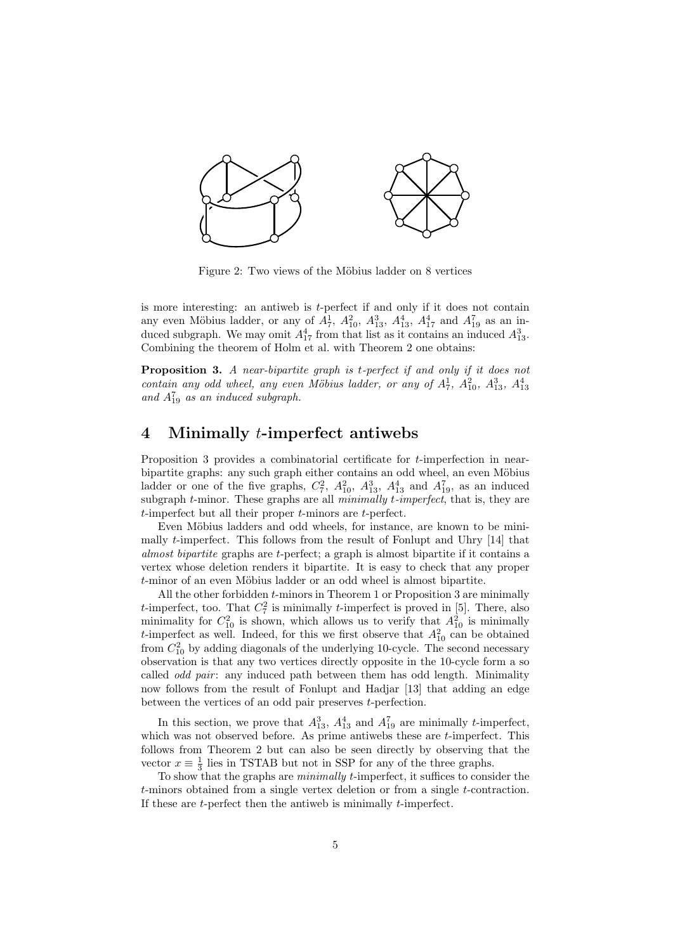

Figure 2: Two views of the Möbius ladder on 8 vertices

is more interesting: an antiweb is t-perfect if and only if it does not contain any even Möbius ladder, or any of  $A_7^1$ ,  $A_{10}^2$ ,  $A_{13}^3$ ,  $A_{13}^4$ ,  $A_{17}^4$  and  $A_{19}^7$  as an induced subgraph. We may omit  $A_{17}^4$  from that list as it contains an induced  $A_{13}^3$ . Combining the theorem of Holm et al. with Theorem 2 one obtains:

**Proposition 3.** A near-bipartite graph is t-perfect if and only if it does not contain any odd wheel, any even Möbius ladder, or any of  $A_7^1$ ,  $A_{10}^2$ ,  $A_{13}^3$ ,  $A_{13}^4$ and  $A_{19}^7$  as an induced subgraph.

# 4 Minimally t-imperfect antiwebs

Proposition 3 provides a combinatorial certificate for t-imperfection in nearbipartite graphs: any such graph either contains an odd wheel, an even Möbius ladder or one of the five graphs,  $C_7^2$ ,  $A_{10}^2$ ,  $A_{13}^3$ ,  $A_{13}^4$  and  $A_{19}^7$ , as an induced subgraph  $t$ -minor. These graphs are all  $minimally$   $t$ -imperfect, that is, they are  $t$ -imperfect but all their proper  $t$ -minors are  $t$ -perfect.

Even Möbius ladders and odd wheels, for instance, are known to be minimally t-imperfect. This follows from the result of Fonlupt and Uhry [14] that almost bipartite graphs are t-perfect; a graph is almost bipartite if it contains a vertex whose deletion renders it bipartite. It is easy to check that any proper  $t$ -minor of an even Möbius ladder or an odd wheel is almost bipartite.

All the other forbidden t-minors in Theorem 1 or Proposition 3 are minimally t-imperfect, too. That  $C_7^2$  is minimally t-imperfect is proved in [5]. There, also minimality for  $C_{10}^2$  is shown, which allows us to verify that  $A_{10}^2$  is minimally t-imperfect as well. Indeed, for this we first observe that  $A_{10}^2$  can be obtained from  $C_{10}^2$  by adding diagonals of the underlying 10-cycle. The second necessary observation is that any two vertices directly opposite in the 10-cycle form a so called *odd pair*: any induced path between them has odd length. Minimality now follows from the result of Fonlupt and Hadjar [13] that adding an edge between the vertices of an odd pair preserves t-perfection.

In this section, we prove that  $A_{13}^3$ ,  $A_{13}^4$  and  $A_{19}^7$  are minimally *t*-imperfect, which was not observed before. As prime antiwebs these are *t*-imperfect. This follows from Theorem 2 but can also be seen directly by observing that the vector  $x \equiv \frac{1}{3}$  lies in TSTAB but not in SSP for any of the three graphs.

To show that the graphs are minimally t-imperfect, it suffices to consider the t-minors obtained from a single vertex deletion or from a single t-contraction. If these are  $t$ -perfect then the antiweb is minimally  $t$ -imperfect.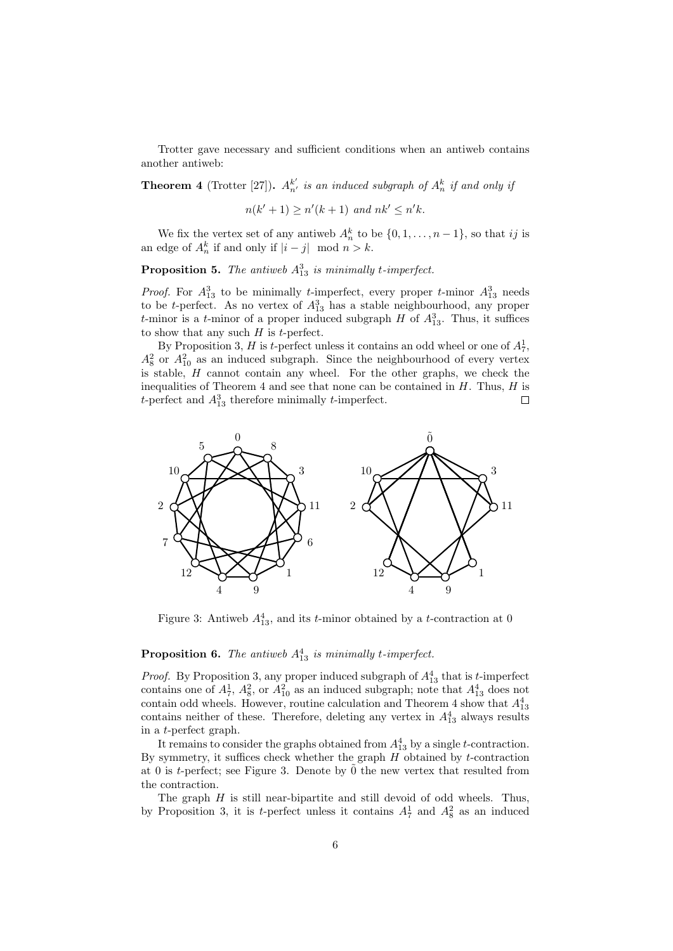Trotter gave necessary and sufficient conditions when an antiweb contains another antiweb:

**Theorem 4** (Trotter [27]).  $A_{n'}^{k'}$  is an induced subgraph of  $A_n^k$  if and only if

$$
n(k'+1) \ge n'(k+1) \text{ and } nk' \le n'k.
$$

We fix the vertex set of any antiweb  $A_n^k$  to be  $\{0, 1, \ldots, n-1\}$ , so that ij is an edge of  $A_n^k$  if and only if  $|i - j|$  mod  $n > k$ .

**Proposition 5.** The antiweb  $A_{13}^3$  is minimally t-imperfect.

*Proof.* For  $A_{13}^3$  to be minimally *t*-imperfect, every proper *t*-minor  $A_{13}^3$  needs to be *t*-perfect. As no vertex of  $A_{13}^3$  has a stable neighbourhood, any proper t-minor is a t-minor of a proper induced subgraph  $H$  of  $A_{13}^3$ . Thus, it suffices to show that any such  $H$  is t-perfect.

By Proposition 3, H is t-perfect unless it contains an odd wheel or one of  $A_7^1$ ,  $A_8^2$  or  $A_{10}^2$  as an induced subgraph. Since the neighbourhood of every vertex is stable,  $H$  cannot contain any wheel. For the other graphs, we check the inequalities of Theorem 4 and see that none can be contained in  $H$ . Thus,  $H$  is t-perfect and  $A_{13}^3$  therefore minimally t-imperfect.  $\Box$ 



Figure 3: Antiweb  $A_{13}^4$ , and its *t*-minor obtained by a *t*-contraction at 0

#### **Proposition 6.** The antiweb  $A_{13}^4$  is minimally t-imperfect.

*Proof.* By Proposition 3, any proper induced subgraph of  $A_{13}^4$  that is t-imperfect contains one of  $A_7^1$ ,  $A_8^2$ , or  $A_{10}^2$  as an induced subgraph; note that  $A_{13}^4$  does not contain odd wheels. However, routine calculation and Theorem 4 show that  $A_{13}^4$ contains neither of these. Therefore, deleting any vertex in  $A_{13}^4$  always results in a t-perfect graph.

It remains to consider the graphs obtained from  $A_{13}^4$  by a single *t*-contraction. By symmetry, it suffices check whether the graph  $H$  obtained by  $t$ -contraction at 0 is t-perfect; see Figure 3. Denote by  $\tilde{0}$  the new vertex that resulted from the contraction.

The graph  $H$  is still near-bipartite and still devoid of odd wheels. Thus, by Proposition 3, it is t-perfect unless it contains  $A_7^1$  and  $A_8^2$  as an induced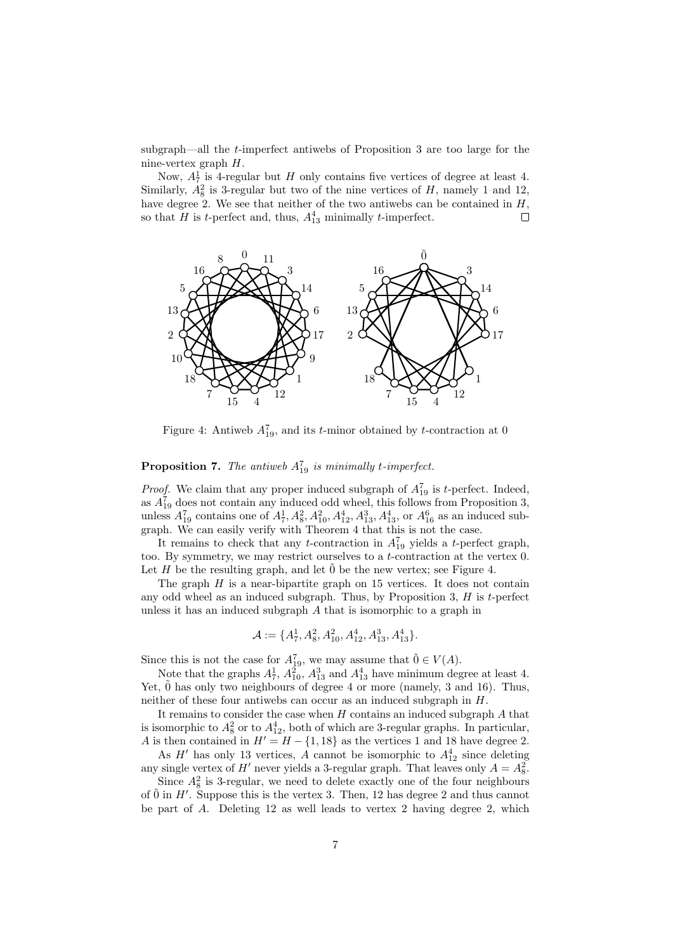subgraph—all the t-imperfect antiwebs of Proposition 3 are too large for the nine-vertex graph H.

Now,  $A_7^1$  is 4-regular but H only contains five vertices of degree at least 4. Similarly,  $A_8^2$  is 3-regular but two of the nine vertices of H, namely 1 and 12, have degree 2. We see that neither of the two antiwebs can be contained in  $H$ , so that H is t-perfect and, thus,  $A_{13}^4$  minimally t-imperfect. С



Figure 4: Antiweb  $A_{19}^7$ , and its *t*-minor obtained by *t*-contraction at 0

#### **Proposition 7.** The antiweb  $A_{19}^7$  is minimally t-imperfect.

*Proof.* We claim that any proper induced subgraph of  $A_{19}^7$  is *t*-perfect. Indeed, as  $A_{19}^7$  does not contain any induced odd wheel, this follows from Proposition 3, unless  $A_{19}^7$  contains one of  $A_7^1$ ,  $A_8^2$ ,  $A_{10}^2$ ,  $A_{12}^4$ ,  $A_{13}^3$ ,  $A_{13}^4$ , or  $A_{16}^6$  as an induced subgraph. We can easily verify with Theorem 4 that this is not the case.

It remains to check that any *t*-contraction in  $A_{19}^7$  yields a *t*-perfect graph, too. By symmetry, we may restrict ourselves to a  $t$ -contraction at the vertex 0. Let H be the resulting graph, and let  $\tilde{0}$  be the new vertex; see Figure 4.

The graph  $H$  is a near-bipartite graph on 15 vertices. It does not contain any odd wheel as an induced subgraph. Thus, by Proposition 3,  $H$  is  $t$ -perfect unless it has an induced subgraph A that is isomorphic to a graph in

$$
\mathcal{A} := \{A_7^1, A_8^2, A_{10}^2, A_{12}^4, A_{13}^3, A_{13}^4\}.
$$

Since this is not the case for  $A_{19}^7$ , we may assume that  $\tilde{0} \in V(A)$ .

Note that the graphs  $A_7^1$ ,  $A_{10}^2$ ,  $A_{13}^3$  and  $A_{13}^4$  have minimum degree at least 4. Yet,  $\ddot{0}$  has only two neighbours of degree 4 or more (namely, 3 and 16). Thus, neither of these four antiwebs can occur as an induced subgraph in H.

It remains to consider the case when  $H$  contains an induced subgraph  $A$  that is isomorphic to  $A_8^2$  or to  $A_{12}^4$ , both of which are 3-regular graphs. In particular, A is then contained in  $H' = H - \{1, 18\}$  as the vertices 1 and 18 have degree 2.

As  $H'$  has only 13 vertices, A cannot be isomorphic to  $A_{12}^4$  since deleting any single vertex of  $H'$  never yields a 3-regular graph. That leaves only  $A = A_8^2$ .

Since  $A_8^2$  is 3-regular, we need to delete exactly one of the four neighbours of  $\tilde{0}$  in H'. Suppose this is the vertex 3. Then, 12 has degree 2 and thus cannot be part of A. Deleting 12 as well leads to vertex 2 having degree 2, which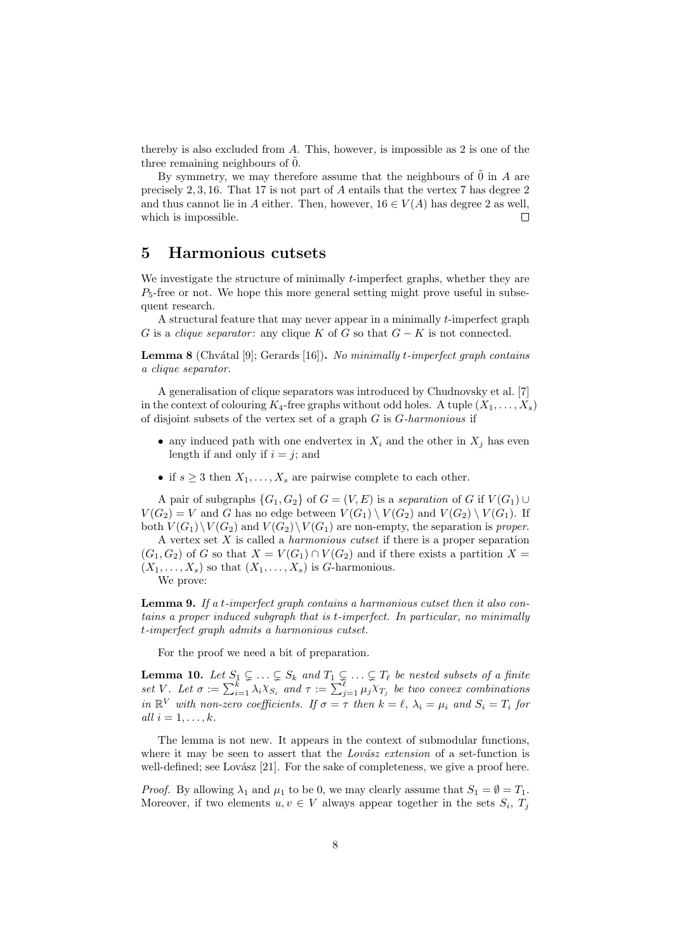thereby is also excluded from A. This, however, is impossible as 2 is one of the three remaining neighbours of 0.

By symmetry, we may therefore assume that the neighbours of  $\tilde{0}$  in A are precisely 2, 3, 16. That 17 is not part of A entails that the vertex 7 has degree 2 and thus cannot lie in A either. Then, however,  $16 \in V(A)$  has degree 2 as well, which is impossible. Г

### 5 Harmonious cutsets

We investigate the structure of minimally *t*-imperfect graphs, whether they are  $P_5$ -free or not. We hope this more general setting might prove useful in subsequent research.

A structural feature that may never appear in a minimally t-imperfect graph G is a *clique separator*: any clique K of G so that  $G - K$  is not connected.

**Lemma 8** (Chvátal [9]; Gerards [16]). No minimally t-imperfect graph contains a clique separator.

A generalisation of clique separators was introduced by Chudnovsky et al. [7] in the context of colouring  $K_4$ -free graphs without odd holes. A tuple  $(X_1, \ldots, X_s)$ of disjoint subsets of the vertex set of a graph  $G$  is  $G$ -harmonious if

- any induced path with one endvertex in  $X_i$  and the other in  $X_j$  has even length if and only if  $i = j$ ; and
- if  $s \geq 3$  then  $X_1, \ldots, X_s$  are pairwise complete to each other.

A pair of subgraphs  $\{G_1, G_2\}$  of  $G = (V, E)$  is a separation of G if  $V(G_1) \cup$  $V(G_2) = V$  and G has no edge between  $V(G_1) \setminus V(G_2)$  and  $V(G_2) \setminus V(G_1)$ . If both  $V(G_1)\backslash V(G_2)$  and  $V(G_2)\backslash V(G_1)$  are non-empty, the separation is proper.

A vertex set  $X$  is called a *harmonious cutset* if there is a proper separation  $(G_1, G_2)$  of G so that  $X = V(G_1) \cap V(G_2)$  and if there exists a partition  $X =$  $(X_1, \ldots, X_s)$  so that  $(X_1, \ldots, X_s)$  is G-harmonious.

We prove:

Lemma 9. If a t-imperfect graph contains a harmonious cutset then it also contains a proper induced subgraph that is t-imperfect. In particular, no minimally t-imperfect graph admits a harmonious cutset.

For the proof we need a bit of preparation.

**Lemma 10.** Let  $S_1 \subsetneq \ldots \subsetneq S_k$  and  $T_1 \subsetneq \ldots \subsetneq T_\ell$  be nested subsets of a finite set V. Let  $\sigma := \sum_{i=1}^k \lambda_i X_{S_i}$  and  $\tau := \sum_{j=1}^{\ell} \mu_j X_{T_j}$  be two convex combinations in  $\mathbb{R}^V$  with non-zero coefficients. If  $\sigma = \tau$  then  $k = \ell, \lambda_i = \mu_i$  and  $S_i = T_i$  for all  $i = 1, \ldots, k$ .

The lemma is not new. It appears in the context of submodular functions, where it may be seen to assert that the *Lovász extension* of a set-function is well-defined; see Lovász [21]. For the sake of completeness, we give a proof here.

*Proof.* By allowing  $\lambda_1$  and  $\mu_1$  to be 0, we may clearly assume that  $S_1 = \emptyset = T_1$ . Moreover, if two elements  $u, v \in V$  always appear together in the sets  $S_i, T_j$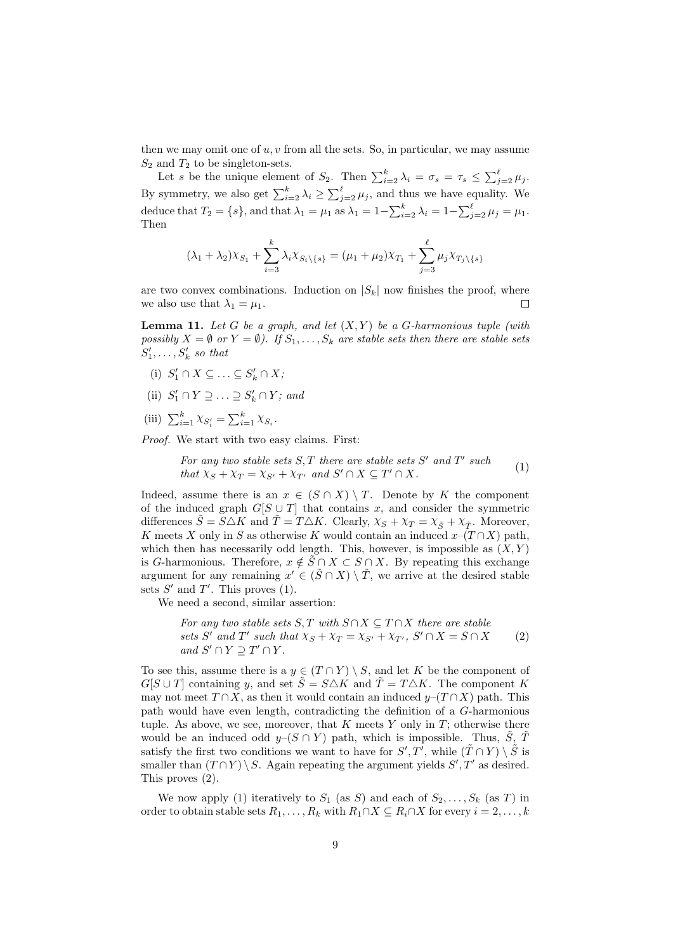then we may omit one of  $u, v$  from all the sets. So, in particular, we may assume  $S_2$  and  $T_2$  to be singleton-sets.

Let s be the unique element of  $S_2$ . Then  $\sum_{i=2}^{k} \lambda_i = \sigma_s = \tau_s \leq \sum_{j=2}^{\ell} \mu_j$ . By symmetry, we also get  $\sum_{i=2}^{k} \lambda_i \geq \sum_{j=2}^{\ell} \mu_j$ , and thus we have equality. We deduce that  $T_2 = \{s\}$ , and that  $\lambda_1 = \mu_1$  as  $\lambda_1 = 1 - \sum_{i=2}^k \lambda_i = 1 - \sum_{j=2}^\ell \mu_j = \mu_1$ . Then

$$
(\lambda_1 + \lambda_2) \chi_{S_1} + \sum_{i=3}^k \lambda_i \chi_{S_i \setminus \{s\}} = (\mu_1 + \mu_2) \chi_{T_1} + \sum_{j=3}^\ell \mu_j \chi_{T_j \setminus \{s\}}
$$

are two convex combinations. Induction on  $|S_k|$  now finishes the proof, where we also use that  $\lambda_1 = \mu_1$ .  $\Box$ 

**Lemma 11.** Let G be a graph, and let  $(X, Y)$  be a G-harmonious tuple (with possibly  $X = \emptyset$  or  $Y = \emptyset$ ). If  $S_1, \ldots, S_k$  are stable sets then there are stable sets  $S'_1, \ldots, S'_k$  so that

- (i)  $S'_1 \cap X \subseteq \ldots \subseteq S'_k \cap X;$
- (ii)  $S'_1 \cap Y \supseteq \ldots \supseteq S'_k \cap Y$ ; and
- (iii)  $\sum_{i=1}^{k} \chi_{S_i'} = \sum_{i=1}^{k} \chi_{S_i}.$

Proof. We start with two easy claims. First:

For any two stable sets S, T there are stable sets S' and T' such  
that 
$$
\chi_S + \chi_T = \chi_{S'} + \chi_{T'}
$$
 and S'  $\cap$  X  $\subseteq$  T'  $\cap$  X. (1)

Indeed, assume there is an  $x \in (S \cap X) \setminus T$ . Denote by K the component of the induced graph  $G[S \cup T]$  that contains x, and consider the symmetric differences  $\tilde{S} = \tilde{S} \triangle K$  and  $\tilde{T} = T \triangle K$ . Clearly,  $\chi_S + \chi_T = \chi_{\tilde{S}} + \chi_{\tilde{T}}$ . Moreover, K meets X only in S as otherwise K would contain an induced  $x-(T \cap X)$  path, which then has necessarily odd length. This, however, is impossible as  $(X, Y)$ is G-harmonious. Therefore,  $x \notin \widetilde{S} \cap X \subset S \cap X$ . By repeating this exchange argument for any remaining  $x' \in (\tilde{S} \cap X) \setminus \tilde{T}$ , we arrive at the desired stable sets  $S'$  and  $T'$ . This proves  $(1)$ .

We need a second, similar assertion:

For any two stable sets 
$$
S, T
$$
 with  $S \cap X \subseteq T \cap X$  there are stable  
sets  $S'$  and  $T'$  such that  $\chi_S + \chi_T = \chi_{S'} + \chi_{T'}, S' \cap X = S \cap X$  (2)  
and  $S' \cap Y \supseteq T' \cap Y$ .

To see this, assume there is a  $y \in (T \cap Y) \setminus S$ , and let K be the component of  $G[S \cup T]$  containing y, and set  $\tilde{S} = S \triangle K$  and  $\tilde{T} = T \triangle K$ . The component K may not meet  $T \cap X$ , as then it would contain an induced  $y-(T \cap X)$  path. This path would have even length, contradicting the definition of a G-harmonious tuple. As above, we see, moreover, that  $K$  meets  $Y$  only in  $T$ ; otherwise there would be an induced odd  $y-(S \cap Y)$  path, which is impossible. Thus,  $\tilde{S}$ ,  $\tilde{T}$ satisfy the first two conditions we want to have for  $S', T'$ , while  $(\tilde{T} \cap Y) \setminus \tilde{S}$  is smaller than  $(T \cap Y) \setminus S$ . Again repeating the argument yields  $S', T'$  as desired. This proves (2).

We now apply (1) iteratively to  $S_1$  (as S) and each of  $S_2, \ldots, S_k$  (as T) in order to obtain stable sets  $R_1, \ldots, R_k$  with  $R_1 \cap X \subseteq R_i \cap X$  for every  $i = 2, \ldots, k$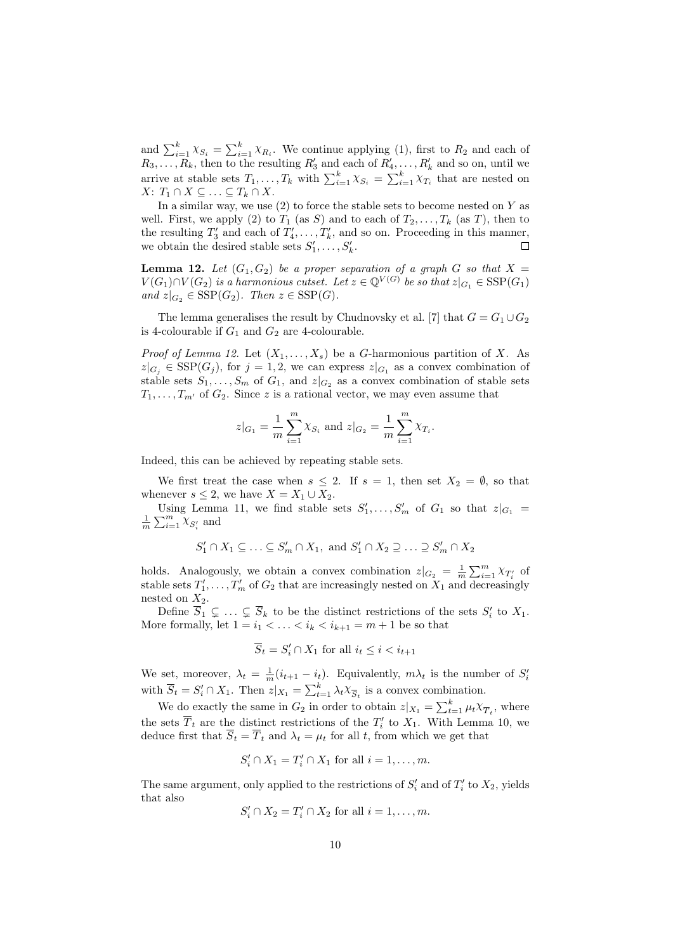and  $\sum_{i=1}^{k} \chi_{S_i} = \sum_{i=1}^{k} \chi_{R_i}$ . We continue applying (1), first to  $R_2$  and each of  $R_3, \ldots, R_k$ , then to the resulting  $R'_3$  and each of  $R'_4, \ldots, R'_k$  and so on, until we arrive at stable sets  $T_1, \ldots, T_k$  with  $\sum_{i=1}^k \chi_{S_i} = \sum_{i=1}^k \chi_{T_i}$  that are nested on  $X: T_1 \cap X \subseteq \ldots \subseteq T_k \cap X$ .

In a similar way, we use  $(2)$  to force the stable sets to become nested on Y as well. First, we apply (2) to  $T_1$  (as S) and to each of  $T_2, \ldots, T_k$  (as T), then to the resulting  $T'_3$  and each of  $T'_4, \ldots, T'_k$ , and so on. Proceeding in this manner, we obtain the desired stable sets  $S'_1, \ldots, S'_k$ .

**Lemma 12.** Let  $(G_1, G_2)$  be a proper separation of a graph G so that  $X =$  $V(G_1) \cap V(G_2)$  is a harmonious cutset. Let  $z \in \mathbb{Q}^{V(G)}$  be so that  $z|_{G_1} \in \text{SSP}(G_1)$ and  $z|_{G_2} \in \text{SSP}(G_2)$ . Then  $z \in \text{SSP}(G)$ .

The lemma generalises the result by Chudnovsky et al. [7] that  $G = G_1 \cup G_2$ is 4-colourable if  $G_1$  and  $G_2$  are 4-colourable.

*Proof of Lemma 12.* Let  $(X_1, \ldots, X_s)$  be a G-harmonious partition of X. As  $z|_{G_j} \in \text{SSP}(G_j)$ , for  $j = 1, 2$ , we can express  $z|_{G_1}$  as a convex combination of stable sets  $S_1, \ldots, S_m$  of  $G_1$ , and  $z|_{G_2}$  as a convex combination of stable sets  $T_1, \ldots, T_{m'}$  of  $G_2$ . Since z is a rational vector, we may even assume that

$$
z|_{G_1} = \frac{1}{m} \sum_{i=1}^{m} \chi_{S_i}
$$
 and  $z|_{G_2} = \frac{1}{m} \sum_{i=1}^{m} \chi_{T_i}$ .

Indeed, this can be achieved by repeating stable sets.

We first treat the case when  $s \leq 2$ . If  $s = 1$ , then set  $X_2 = \emptyset$ , so that whenever  $s \leq 2$ , we have  $X = X_1 \cup X_2$ .

Using Lemma 11, we find stable sets  $S'_1, \ldots, S'_m$  of  $G_1$  so that  $z|_{G_1} =$  $\frac{1}{m} \sum_{i=1}^{m} \chi_{S'_i}$  and

$$
S'_1 \cap X_1 \subseteq \ldots \subseteq S'_m \cap X_1, \text{ and } S'_1 \cap X_2 \supseteq \ldots \supseteq S'_m \cap X_2
$$

holds. Analogously, we obtain a convex combination  $z|_{G_2} = \frac{1}{m} \sum_{i=1}^m \chi_{T_i}$  of stable sets  $T_1', \ldots, T_m'$  of  $G_2$  that are increasingly nested on  $X_1$  and decreasingly nested on  $X_2$ .

Define  $\overline{S}_1 \subsetneq \ldots \subsetneq \overline{S}_k$  to be the distinct restrictions of the sets  $S'_i$  to  $X_1$ . More formally, let  $1 = i_1 < \ldots < i_k < i_{k+1} = m+1$  be so that

$$
\overline{S}_t = S_i' \cap X_1 \text{ for all } i_t \leq i < i_{t+1}
$$

We set, moreover,  $\lambda_t = \frac{1}{m}(i_{t+1} - i_t)$ . Equivalently,  $m\lambda_t$  is the number of  $S_i$ with  $\overline{S}_t = S'_i \cap X_1$ . Then  $z|_{X_1} = \sum_{t=1}^k \lambda_t X_{\overline{S}_t}$  is a convex combination.

We do exactly the same in  $G_2$  in order to obtain  $z|_{X_1} = \sum_{t=1}^k \mu_t X_{\overline{T}_t}$ , where the sets  $\overline{T}_t$  are the distinct restrictions of the  $T'_i$  to  $X_1$ . With Lemma 10, we deduce first that  $\overline{S}_t = \overline{T}_t$  and  $\lambda_t = \mu_t$  for all t, from which we get that

$$
S_i' \cap X_1 = T_i' \cap X_1 \text{ for all } i = 1, \dots, m.
$$

The same argument, only applied to the restrictions of  $S_i'$  and of  $T_i'$  to  $X_2$ , yields that also

$$
S_i' \cap X_2 = T_i' \cap X_2 \text{ for all } i = 1, \dots, m.
$$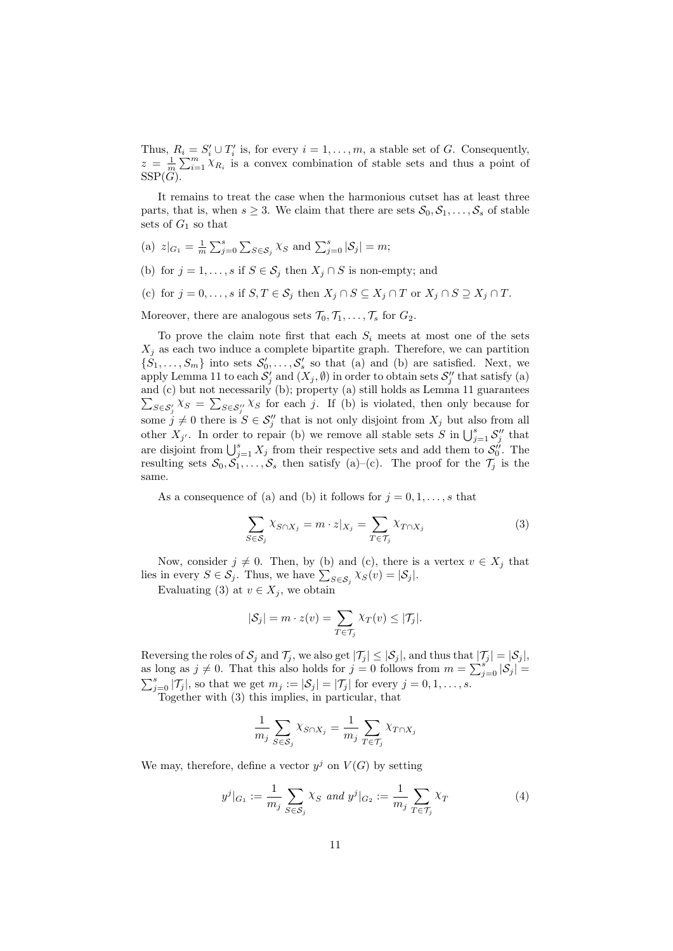Thus,  $R_i = S'_i \cup T'_i$  is, for every  $i = 1, ..., m$ , a stable set of G. Consequently,  $z = \frac{1}{m} \sum_{i=1}^{m} \chi_{R_i}$  is a convex combination of stable sets and thus a point of  $SSP(\ddot{G})$ .

It remains to treat the case when the harmonious cutset has at least three parts, that is, when  $s \geq 3$ . We claim that there are sets  $\mathcal{S}_0, \mathcal{S}_1, \ldots, \mathcal{S}_s$  of stable sets of  $G_1$  so that

- (a)  $z|_{G_1} = \frac{1}{m} \sum_{j=0}^s \sum_{S \in S_j} \chi_S$  and  $\sum_{j=0}^s |\mathcal{S}_j| = m$ ;
- (b) for  $j = 1, \ldots, s$  if  $S \in S_j$  then  $X_j \cap S$  is non-empty; and
- (c) for  $j = 0, \ldots, s$  if  $S, T \in S_j$  then  $X_j \cap S \subseteq X_j \cap T$  or  $X_j \cap S \supseteq X_j \cap T$ .
- Moreover, there are analogous sets  $\mathcal{T}_0, \mathcal{T}_1, \ldots, \mathcal{T}_s$  for  $G_2$ .

To prove the claim note first that each  $S_i$  meets at most one of the sets  $X_j$  as each two induce a complete bipartite graph. Therefore, we can partition  $\{S_1, \ldots, S_m\}$  into sets  $S'_0, \ldots, S'_s$  so that (a) and (b) are satisfied. Next, we apply Lemma 11 to each  $\mathcal{S}'_j$  and  $(X_j, \emptyset)$  in order to obtain sets  $\mathcal{S}''_j$  that satisfy (a) and (c) but not necessarily (b); property (a) still holds as Lemma 11 guarantees  $\sum_{S \in S_j'} \chi_S = \sum_{S \in S_j''} \chi_S$  for each j. If (b) is violated, then only because for some  $j \neq 0$  there is  $S \in \mathcal{S}_{j}''$  that is not only disjoint from  $X_j$  but also from all other  $X_{j'}$ . In order to repair (b) we remove all stable sets S in  $\bigcup_{j=1}^{s} S''_j$  that are disjoint from  $\bigcup_{j=1}^s X_j$  from their respective sets and add them to  $\mathcal{S}_0''$ . The resulting sets  $S_0, \overline{S_1}, \ldots, \overline{S_s}$  then satisfy (a)–(c). The proof for the  $\mathcal{T}_j$  is the same.

As a consequence of (a) and (b) it follows for  $j = 0, 1, \ldots, s$  that

$$
\sum_{S \in \mathcal{S}_j} \chi_{S \cap X_j} = m \cdot z |_{X_j} = \sum_{T \in \mathcal{T}_j} \chi_{T \cap X_j} \tag{3}
$$

Now, consider  $j \neq 0$ . Then, by (b) and (c), there is a vertex  $v \in X_j$  that lies in every  $S \in \mathcal{S}_j$ . Thus, we have  $\sum_{S \in \mathcal{S}_j} \chi_S(v) = |\mathcal{S}_j|$ .

Evaluating (3) at  $v \in X_i$ , we obtain

$$
|\mathcal{S}_j| = m \cdot z(v) = \sum_{T \in \mathcal{T}_j} \chi_T(v) \le |\mathcal{T}_j|.
$$

Reversing the roles of  $S_j$  and  $\mathcal{T}_j$ , we also get  $|\mathcal{T}_j| \leq |\mathcal{S}_j|$ , and thus that  $|\mathcal{T}_j| = |\mathcal{S}_j|$ , as long as  $j \neq 0$ . That this also holds for  $j = 0$  follows from  $m = \sum_{j=0}^{s} |\mathcal{S}_j|$  $\sum_{j=0}^{s} |\mathcal{T}_j|$ , so that we get  $m_j := |\mathcal{S}_j| = |\mathcal{T}_j|$  for every  $j = 0, 1, \ldots, s$ .

Together with (3) this implies, in particular, that

$$
\frac{1}{m_j} \sum_{S \in \mathcal{S}_j} \chi_{S \cap X_j} = \frac{1}{m_j} \sum_{T \in \mathcal{T}_j} \chi_{T \cap X_j}
$$

We may, therefore, define a vector  $y^j$  on  $V(G)$  by setting

$$
y^{j}|_{G_{1}} := \frac{1}{m_{j}} \sum_{S \in \mathcal{S}_{j}} \chi_{S} \text{ and } y^{j}|_{G_{2}} := \frac{1}{m_{j}} \sum_{T \in \mathcal{T}_{j}} \chi_{T}
$$
(4)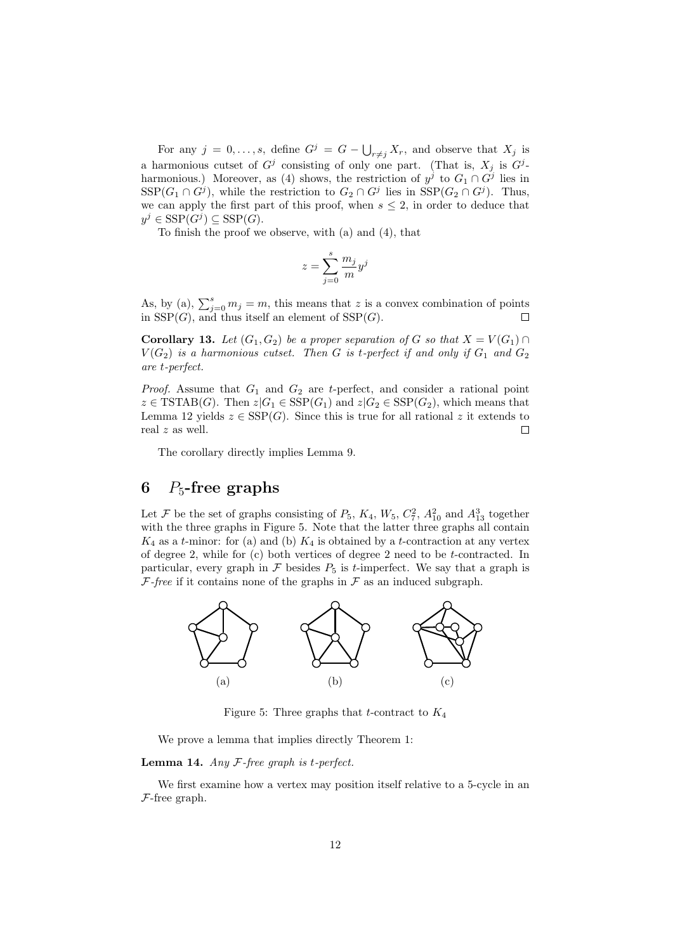For any  $j = 0, \ldots, s$ , define  $G^j = G - \bigcup_{r \neq j} X_r$ , and observe that  $X_j$  is a harmonious cutset of  $G^j$  consisting of only one part. (That is,  $X_j$  is  $G^j$ harmonious.) Moreover, as (4) shows, the restriction of  $y^j$  to  $G_1 \cap G^j$  lies in  $SSP(G_1 \cap G^j)$ , while the restriction to  $G_2 \cap G^j$  lies in  $SSP(G_2 \cap G^j)$ . Thus, we can apply the first part of this proof, when  $s \leq 2$ , in order to deduce that  $y^j \in \text{SSP}(G^j) \subseteq \text{SSP}(G)$ .

To finish the proof we observe, with (a) and (4), that

$$
z = \sum_{j=0}^{s} \frac{m_j}{m} y^j
$$

As, by (a),  $\sum_{j=0}^{s} m_j = m$ , this means that z is a convex combination of points in  $SSP(G)$ , and thus itself an element of  $SSP(G)$ .

**Corollary 13.** Let  $(G_1, G_2)$  be a proper separation of G so that  $X = V(G_1) \cap$  $V(G_2)$  is a harmonious cutset. Then G is t-perfect if and only if  $G_1$  and  $G_2$ are t-perfect.

*Proof.* Assume that  $G_1$  and  $G_2$  are t-perfect, and consider a rational point  $z \in \text{TSTAB}(G)$ . Then  $z|G_1 \in \text{SSP}(G_1)$  and  $z|G_2 \in \text{SSP}(G_2)$ , which means that Lemma 12 yields  $z \in \text{SSP}(G)$ . Since this is true for all rational z it extends to real z as well.  $\Box$ 

The corollary directly implies Lemma 9.

# 6  $P_5$ -free graphs

Let F be the set of graphs consisting of  $P_5$ ,  $K_4$ ,  $W_5$ ,  $C_7^2$ ,  $A_{10}^2$  and  $A_{13}^3$  together with the three graphs in Figure 5. Note that the latter three graphs all contain  $K_4$  as a t-minor: for (a) and (b)  $K_4$  is obtained by a t-contraction at any vertex of degree 2, while for (c) both vertices of degree 2 need to be t-contracted. In particular, every graph in  $\mathcal F$  besides  $P_5$  is *t*-imperfect. We say that a graph is  $\mathcal{F}\text{-}free$  if it contains none of the graphs in  $\mathcal F$  as an induced subgraph.



Figure 5: Three graphs that t-contract to  $K_4$ 

We prove a lemma that implies directly Theorem 1:

**Lemma 14.** Any  $F$ -free graph is t-perfect.

We first examine how a vertex may position itself relative to a 5-cycle in an  $F$ -free graph.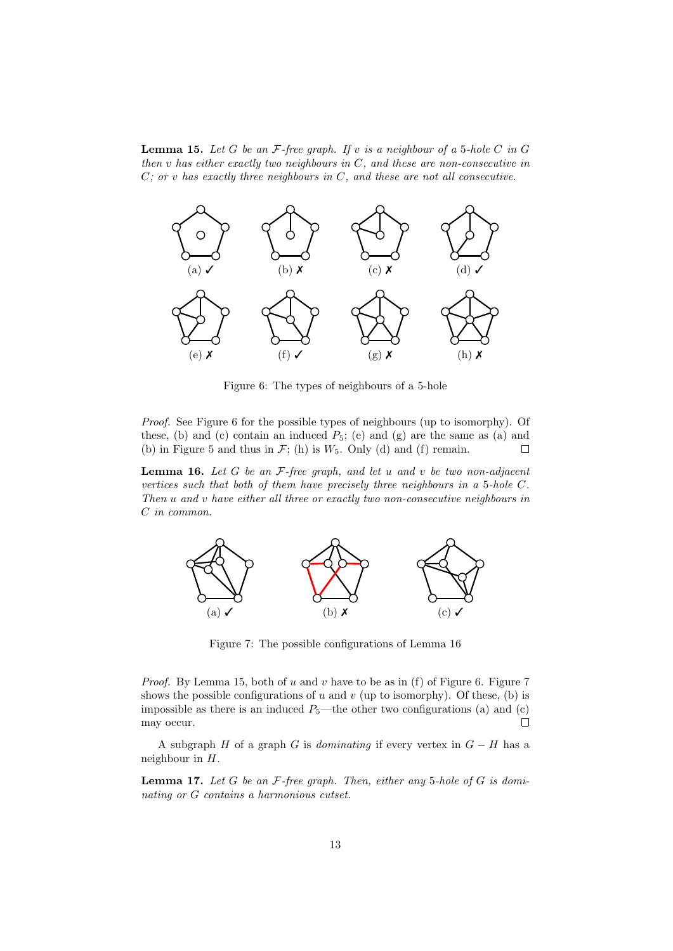**Lemma 15.** Let G be an  $F$ -free graph. If v is a neighbour of a 5-hole C in G then  $v$  has either exactly two neighbours in  $C$ , and these are non-consecutive in  $C$ ; or v has exactly three neighbours in  $C$ , and these are not all consecutive.



Figure 6: The types of neighbours of a 5-hole

Proof. See Figure 6 for the possible types of neighbours (up to isomorphy). Of these, (b) and (c) contain an induced  $P_5$ ; (e) and (g) are the same as (a) and (b) in Figure 5 and thus in  $\mathcal{F}$ ; (h) is  $W_5$ . Only (d) and (f) remain.  $\Box$ 

**Lemma 16.** Let G be an  $F$ -free graph, and let u and v be two non-adjacent vertices such that both of them have precisely three neighbours in a 5-hole C. Then u and v have either all three or exactly two non-consecutive neighbours in C in common.



Figure 7: The possible configurations of Lemma 16

*Proof.* By Lemma 15, both of  $u$  and  $v$  have to be as in (f) of Figure 6. Figure 7 shows the possible configurations of  $u$  and  $v$  (up to isomorphy). Of these, (b) is impossible as there is an induced  $P_5$ —the other two configurations (a) and (c)  $\Box$ may occur.

A subgraph H of a graph G is dominating if every vertex in  $G - H$  has a neighbour in H.

**Lemma 17.** Let  $G$  be an  $F$ -free graph. Then, either any 5-hole of  $G$  is dominating or G contains a harmonious cutset.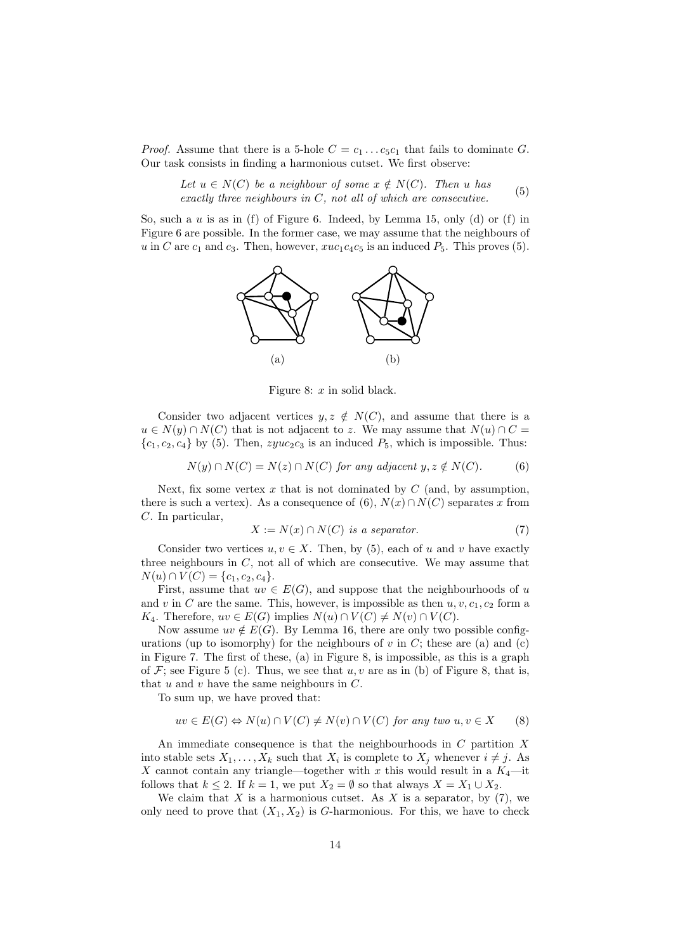*Proof.* Assume that there is a 5-hole  $C = c_1 \dots c_5 c_1$  that fails to dominate G. Our task consists in finding a harmonious cutset. We first observe:

Let  $u \in N(C)$  be a neighbour of some  $x \notin N(C)$ . Then u has Let  $a \in N(C)$  be a neighbours in C, not all of which are consecutive. (5)<br>exactly three neighbours in C, not all of which are consecutive.

So, such a  $u$  is as in (f) of Figure 6. Indeed, by Lemma 15, only (d) or (f) in Figure 6 are possible. In the former case, we may assume that the neighbours of u in C are  $c_1$  and  $c_3$ . Then, however,  $xuc_1c_4c_5$  is an induced  $P_5$ . This proves (5).



Figure 8:  $x$  in solid black.

Consider two adjacent vertices  $y, z \notin N(C)$ , and assume that there is a  $u \in N(y) \cap N(C)$  that is not adjacent to z. We may assume that  $N(u) \cap C =$  ${c_1, c_2, c_4}$  by (5). Then,  $zyuc_2c_3$  is an induced  $P_5$ , which is impossible. Thus:

$$
N(y) \cap N(C) = N(z) \cap N(C) \text{ for any adjacent } y, z \notin N(C). \tag{6}
$$

Next, fix some vertex  $x$  that is not dominated by  $C$  (and, by assumption, there is such a vertex). As a consequence of (6),  $N(x) \cap N(C)$  separates x from C. In particular,

$$
X := N(x) \cap N(C) \text{ is a separator.} \tag{7}
$$

Consider two vertices  $u, v \in X$ . Then, by (5), each of u and v have exactly three neighbours in  $C$ , not all of which are consecutive. We may assume that  $N(u) \cap V(C) = \{c_1, c_2, c_4\}.$ 

First, assume that  $uv \in E(G)$ , and suppose that the neighbourhoods of u and v in C are the same. This, however, is impossible as then  $u, v, c_1, c_2$  form a  $K_4$ . Therefore,  $uv \in E(G)$  implies  $N(u) \cap V(C) \neq N(v) \cap V(C)$ .

Now assume  $uv \notin E(G)$ . By Lemma 16, there are only two possible configurations (up to isomorphy) for the neighbours of v in C; these are (a) and (c) in Figure 7. The first of these, (a) in Figure 8, is impossible, as this is a graph of  $\mathcal{F}$ ; see Figure 5 (c). Thus, we see that  $u, v$  are as in (b) of Figure 8, that is, that  $u$  and  $v$  have the same neighbours in  $C$ .

To sum up, we have proved that:

$$
uv \in E(G) \Leftrightarrow N(u) \cap V(C) \neq N(v) \cap V(C) \text{ for any two } u, v \in X \qquad (8)
$$

An immediate consequence is that the neighbourhoods in C partition X into stable sets  $X_1, \ldots, X_k$  such that  $X_i$  is complete to  $X_j$  whenever  $i \neq j$ . As X cannot contain any triangle—together with x this would result in a  $K_4$ —it follows that  $k \leq 2$ . If  $k = 1$ , we put  $X_2 = \emptyset$  so that always  $X = X_1 \cup X_2$ .

We claim that  $X$  is a harmonious cutset. As  $X$  is a separator, by (7), we only need to prove that  $(X_1, X_2)$  is G-harmonious. For this, we have to check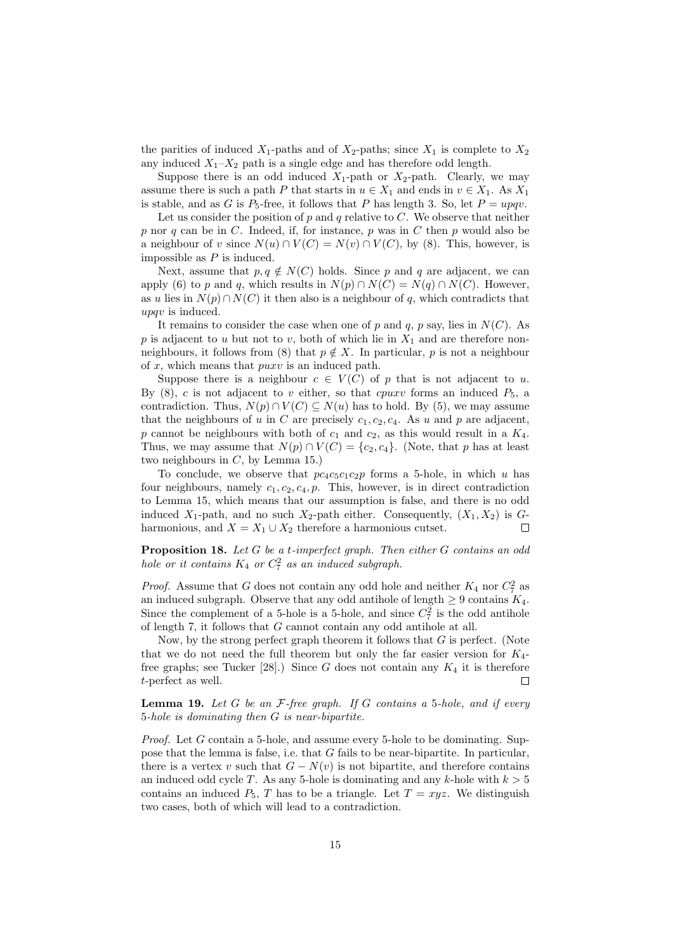the parities of induced  $X_1$ -paths and of  $X_2$ -paths; since  $X_1$  is complete to  $X_2$ any induced  $X_1 - X_2$  path is a single edge and has therefore odd length.

Suppose there is an odd induced  $X_1$ -path or  $X_2$ -path. Clearly, we may assume there is such a path P that starts in  $u \in X_1$  and ends in  $v \in X_1$ . As  $X_1$ is stable, and as G is  $P_5$ -free, it follows that P has length 3. So, let  $P = upqv$ .

Let us consider the position of  $p$  and  $q$  relative to  $C$ . We observe that neither p nor q can be in C. Indeed, if, for instance, p was in C then p would also be a neighbour of v since  $N(u) \cap V(C) = N(v) \cap V(C)$ , by (8). This, however, is impossible as  $P$  is induced.

Next, assume that  $p, q \notin N(C)$  holds. Since p and q are adjacent, we can apply (6) to p and q, which results in  $N(p) \cap N(C) = N(q) \cap N(C)$ . However, as u lies in  $N(p) \cap N(C)$  it then also is a neighbour of q, which contradicts that upqv is induced.

It remains to consider the case when one of p and q, p say, lies in  $N(C)$ . As p is adjacent to u but not to v, both of which lie in  $X_1$  and are therefore nonneighbours, it follows from (8) that  $p \notin X$ . In particular, p is not a neighbour of  $x$ , which means that  $puxv$  is an induced path.

Suppose there is a neighbour  $c \in V(C)$  of p that is not adjacent to u. By  $(8)$ , c is not adjacent to v either, so that cpuxv forms an induced  $P_5$ , a contradiction. Thus,  $N(p) \cap V(C) \subseteq N(u)$  has to hold. By (5), we may assume that the neighbours of u in C are precisely  $c_1, c_2, c_4$ . As u and p are adjacent, p cannot be neighbours with both of  $c_1$  and  $c_2$ , as this would result in a  $K_4$ . Thus, we may assume that  $N(p) \cap V(C) = \{c_2, c_4\}$ . (Note, that p has at least two neighbours in  $C$ , by Lemma 15.)

To conclude, we observe that  $pc_4c_5c_1c_2p$  forms a 5-hole, in which u has four neighbours, namely  $c_1, c_2, c_4, p$ . This, however, is in direct contradiction to Lemma 15, which means that our assumption is false, and there is no odd induced  $X_1$ -path, and no such  $X_2$ -path either. Consequently,  $(X_1, X_2)$  is  $G$ harmonious, and  $X = X_1 \cup X_2$  therefore a harmonious cutset.  $\Box$ 

**Proposition 18.** Let  $G$  be a t-imperfect graph. Then either  $G$  contains an odd hole or it contains  $K_4$  or  $C_7^2$  as an induced subgraph.

*Proof.* Assume that G does not contain any odd hole and neither  $K_4$  nor  $C_7^2$  as an induced subgraph. Observe that any odd antihole of length  $\geq 9$  contains  $K_4$ . Since the complement of a 5-hole is a 5-hole, and since  $C_7^2$  is the odd antihole of length 7, it follows that G cannot contain any odd antihole at all.

Now, by the strong perfect graph theorem it follows that  $G$  is perfect. (Note that we do not need the full theorem but only the far easier version for  $K_4$ free graphs; see Tucker [28].) Since G does not contain any  $K_4$  it is therefore t-perfect as well.  $\Box$ 

**Lemma 19.** Let G be an  $F$ -free graph. If G contains a 5-hole, and if every 5-hole is dominating then G is near-bipartite.

*Proof.* Let G contain a 5-hole, and assume every 5-hole to be dominating. Suppose that the lemma is false, i.e. that G fails to be near-bipartite. In particular, there is a vertex v such that  $G - N(v)$  is not bipartite, and therefore contains an induced odd cycle T. As any 5-hole is dominating and any k-hole with  $k > 5$ contains an induced  $P_5$ , T has to be a triangle. Let  $T = xyz$ . We distinguish two cases, both of which will lead to a contradiction.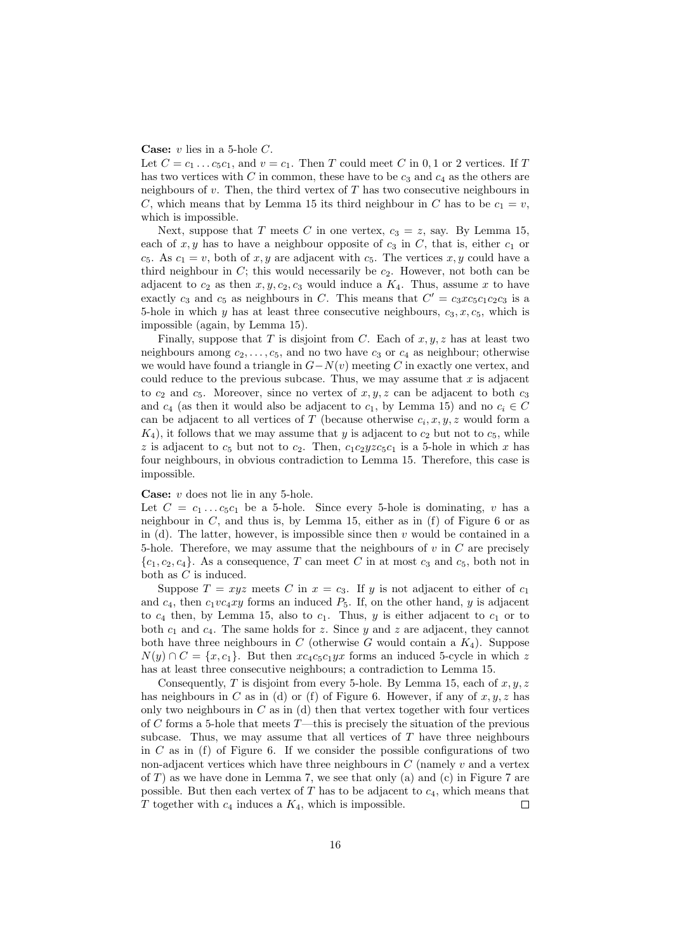#### **Case:**  $v$  lies in a 5-hole  $C$ .

Let  $C = c_1 \dots c_5 c_1$ , and  $v = c_1$ . Then T could meet C in 0, 1 or 2 vertices. If T has two vertices with C in common, these have to be  $c_3$  and  $c_4$  as the others are neighbours of  $v$ . Then, the third vertex of  $T$  has two consecutive neighbours in C, which means that by Lemma 15 its third neighbour in C has to be  $c_1 = v$ , which is impossible.

Next, suppose that T meets C in one vertex,  $c_3 = z$ , say. By Lemma 15, each of  $x, y$  has to have a neighbour opposite of  $c_3$  in  $C$ , that is, either  $c_1$  or  $c_5$ . As  $c_1 = v$ , both of x, y are adjacent with  $c_5$ . The vertices x, y could have a third neighbour in  $C$ ; this would necessarily be  $c_2$ . However, not both can be adjacent to  $c_2$  as then  $x, y, c_2, c_3$  would induce a  $K_4$ . Thus, assume x to have exactly  $c_3$  and  $c_5$  as neighbours in C. This means that  $C' = c_3x c_5c_1c_2c_3$  is a 5-hole in which y has at least three consecutive neighbours,  $c_3, x, c_5$ , which is impossible (again, by Lemma 15).

Finally, suppose that T is disjoint from C. Each of  $x, y, z$  has at least two neighbours among  $c_2, \ldots, c_5$ , and no two have  $c_3$  or  $c_4$  as neighbour; otherwise we would have found a triangle in  $G-N(v)$  meeting C in exactly one vertex, and could reduce to the previous subcase. Thus, we may assume that  $x$  is adjacent to  $c_2$  and  $c_5$ . Moreover, since no vertex of  $x, y, z$  can be adjacent to both  $c_3$ and  $c_4$  (as then it would also be adjacent to  $c_1$ , by Lemma 15) and no  $c_i \in C$ can be adjacent to all vertices of T (because otherwise  $c_i, x, y, z$  would form a  $K_4$ , it follows that we may assume that y is adjacent to  $c_2$  but not to  $c_5$ , while z is adjacent to  $c_5$  but not to  $c_2$ . Then,  $c_1c_2yzc_5c_1$  is a 5-hole in which x has four neighbours, in obvious contradiction to Lemma 15. Therefore, this case is impossible.

#### Case: v does not lie in any 5-hole.

Let  $C = c_1 \dots c_5 c_1$  be a 5-hole. Since every 5-hole is dominating, v has a neighbour in  $C$ , and thus is, by Lemma 15, either as in  $(f)$  of Figure 6 or as in (d). The latter, however, is impossible since then  $v$  would be contained in a 5-hole. Therefore, we may assume that the neighbours of  $v$  in  $C$  are precisely  ${c_1, c_2, c_4}$ . As a consequence, T can meet C in at most  $c_3$  and  $c_5$ , both not in both as  $C$  is induced.

Suppose  $T = xyz$  meets C in  $x = c_3$ . If y is not adjacent to either of  $c_1$ and  $c_4$ , then  $c_1v c_4xy$  forms an induced  $P_5$ . If, on the other hand, y is adjacent to  $c_4$  then, by Lemma 15, also to  $c_1$ . Thus, y is either adjacent to  $c_1$  or to both  $c_1$  and  $c_4$ . The same holds for z. Since y and z are adjacent, they cannot both have three neighbours in C (otherwise G would contain a  $K_4$ ). Suppose  $N(y) \cap C = \{x, c_1\}$ . But then  $xc_4c_5c_1yx$  forms an induced 5-cycle in which z has at least three consecutive neighbours; a contradiction to Lemma 15.

Consequently, T is disjoint from every 5-hole. By Lemma 15, each of  $x, y, z$ has neighbours in C as in (d) or (f) of Figure 6. However, if any of  $x, y, z$  has only two neighbours in  $C$  as in (d) then that vertex together with four vertices of C forms a 5-hole that meets  $T$ —this is precisely the situation of the previous subcase. Thus, we may assume that all vertices of  $T$  have three neighbours in  $C$  as in (f) of Figure 6. If we consider the possible configurations of two non-adjacent vertices which have three neighbours in  $C$  (namely  $v$  and a vertex of  $T$ ) as we have done in Lemma 7, we see that only (a) and (c) in Figure 7 are possible. But then each vertex of  $T$  has to be adjacent to  $c_4$ , which means that T together with  $c_4$  induces a  $K_4$ , which is impossible. П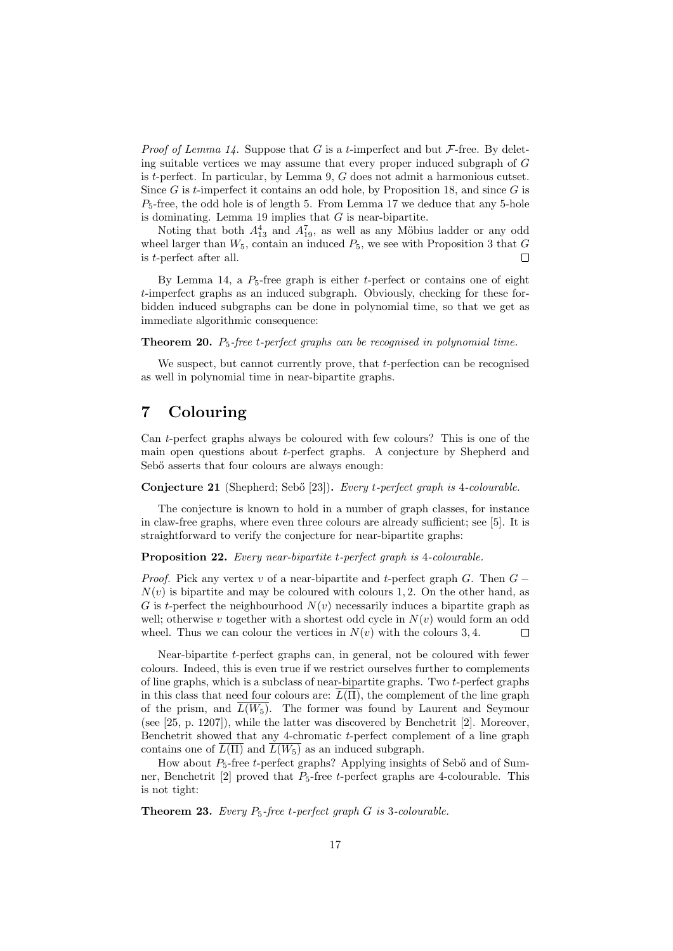*Proof of Lemma 14.* Suppose that G is a t-imperfect and but  $\mathcal{F}$ -free. By deleting suitable vertices we may assume that every proper induced subgraph of G is  $t$ -perfect. In particular, by Lemma 9,  $G$  does not admit a harmonious cutset. Since  $G$  is t-imperfect it contains an odd hole, by Proposition 18, and since  $G$  is  $P_5$ -free, the odd hole is of length 5. From Lemma 17 we deduce that any 5-hole is dominating. Lemma 19 implies that  $G$  is near-bipartite.

Noting that both  $A_{13}^4$  and  $A_{19}^7$ , as well as any Möbius ladder or any odd wheel larger than  $W_5$ , contain an induced  $P_5$ , we see with Proposition 3 that  $G$  $\Box$ is t-perfect after all.

By Lemma 14, a  $P_5$ -free graph is either t-perfect or contains one of eight t-imperfect graphs as an induced subgraph. Obviously, checking for these forbidden induced subgraphs can be done in polynomial time, so that we get as immediate algorithmic consequence:

**Theorem 20.**  $P_5$ -free t-perfect graphs can be recognised in polynomial time.

We suspect, but cannot currently prove, that t-perfection can be recognised as well in polynomial time in near-bipartite graphs.

### 7 Colouring

Can t-perfect graphs always be coloured with few colours? This is one of the main open questions about t-perfect graphs. A conjecture by Shepherd and Sebő asserts that four colours are always enough:

Conjecture 21 (Shepherd; Sebő [23]). Every t-perfect graph is 4-colourable.

The conjecture is known to hold in a number of graph classes, for instance in claw-free graphs, where even three colours are already sufficient; see [5]. It is straightforward to verify the conjecture for near-bipartite graphs:

#### Proposition 22. Every near-bipartite t-perfect graph is 4-colourable.

*Proof.* Pick any vertex v of a near-bipartite and t-perfect graph G. Then  $G N(v)$  is bipartite and may be coloured with colours 1, 2. On the other hand, as G is t-perfect the neighbourhood  $N(v)$  necessarily induces a bipartite graph as well; otherwise v together with a shortest odd cycle in  $N(v)$  would form an odd wheel. Thus we can colour the vertices in  $N(v)$  with the colours 3, 4. Е

Near-bipartite t-perfect graphs can, in general, not be coloured with fewer colours. Indeed, this is even true if we restrict ourselves further to complements of line graphs, which is a subclass of near-bipartite graphs. Two  $t$ -perfect graphs in this class that need four colours are:  $\overline{L(\Pi)}$ , the complement of the line graph of the prism, and  $L(W_5)$ . The former was found by Laurent and Seymour (see [25, p. 1207]), while the latter was discovered by Benchetrit [2]. Moreover, Benchetrit showed that any 4-chromatic  $t$ -perfect complement of a line graph contains one of  $\overline{L(\Pi)}$  and  $\overline{L(W_5)}$  as an induced subgraph.

How about  $P_5$ -free t-perfect graphs? Applying insights of Seb $\ddot{o}$  and of Sumner, Benchetrit [2] proved that  $P_5$ -free t-perfect graphs are 4-colourable. This is not tight:

**Theorem 23.** Every  $P_5$ -free t-perfect graph  $G$  is 3-colourable.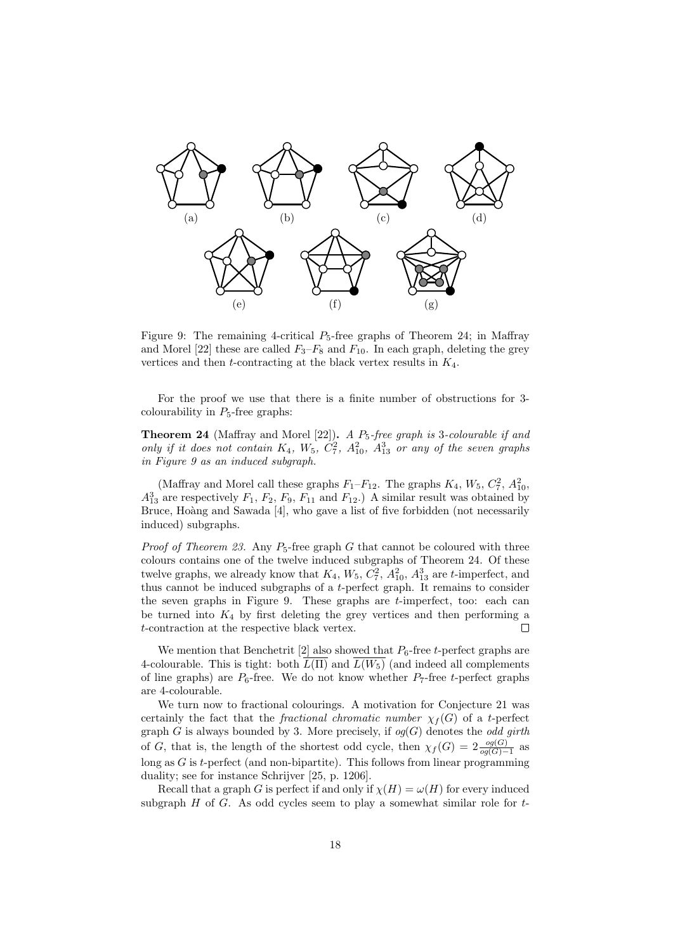

Figure 9: The remaining 4-critical  $P_5$ -free graphs of Theorem 24; in Maffray and Morel [22] these are called  $F_3-F_8$  and  $F_{10}$ . In each graph, deleting the grey vertices and then  $t$ -contracting at the black vertex results in  $K_4$ .

For the proof we use that there is a finite number of obstructions for 3 colourability in  $P_5$ -free graphs:

**Theorem 24** (Maffray and Morel [22]). A  $P_5$ -free graph is 3-colourable if and only if it does not contain  $K_4$ ,  $W_5$ ,  $C_7^2$ ,  $A_{10}^2$ ,  $A_{13}^3$  or any of the seven graphs in Figure 9 as an induced subgraph.

(Maffray and Morel call these graphs  $F_1-F_{12}$ . The graphs  $K_4$ ,  $W_5$ ,  $C_7^2$ ,  $A_{10}^2$ ,  $A_{13}^3$  are respectively  $F_1$ ,  $F_2$ ,  $F_9$ ,  $F_{11}$  and  $F_{12}$ .) A similar result was obtained by Bruce, Hoàng and Sawada [4], who gave a list of five forbidden (not necessarily induced) subgraphs.

*Proof of Theorem 23.* Any  $P_5$ -free graph G that cannot be coloured with three colours contains one of the twelve induced subgraphs of Theorem 24. Of these twelve graphs, we already know that  $K_4$ ,  $W_5$ ,  $C_7^2$ ,  $A_{10}^2$ ,  $A_{13}^3$  are *t*-imperfect, and thus cannot be induced subgraphs of a t-perfect graph. It remains to consider the seven graphs in Figure 9. These graphs are t-imperfect, too: each can be turned into  $K_4$  by first deleting the grey vertices and then performing a t-contraction at the respective black vertex. П

We mention that Benchetrit [2] also showed that  $P_6$ -free t-perfect graphs are 4-colourable. This is tight: both  $\overline{L(\Pi)}$  and  $\overline{L(W_5)}$  (and indeed all complements of line graphs) are  $P_6$ -free. We do not know whether  $P_7$ -free t-perfect graphs are 4-colourable.

We turn now to fractional colourings. A motivation for Conjecture 21 was certainly the fact that the *fractional chromatic number*  $\chi_f(G)$  of a t-perfect graph G is always bounded by 3. More precisely, if  $og(G)$  denotes the *odd girth* of G, that is, the length of the shortest odd cycle, then  $\chi_f(G) = 2 \frac{og(G)}{og(G)-1}$  as long as  $G$  is  $t$ -perfect (and non-bipartite). This follows from linear programming duality; see for instance Schrijver [25, p. 1206].

Recall that a graph G is perfect if and only if  $\chi(H) = \omega(H)$  for every induced subgraph  $H$  of  $G$ . As odd cycles seem to play a somewhat similar role for  $t$ -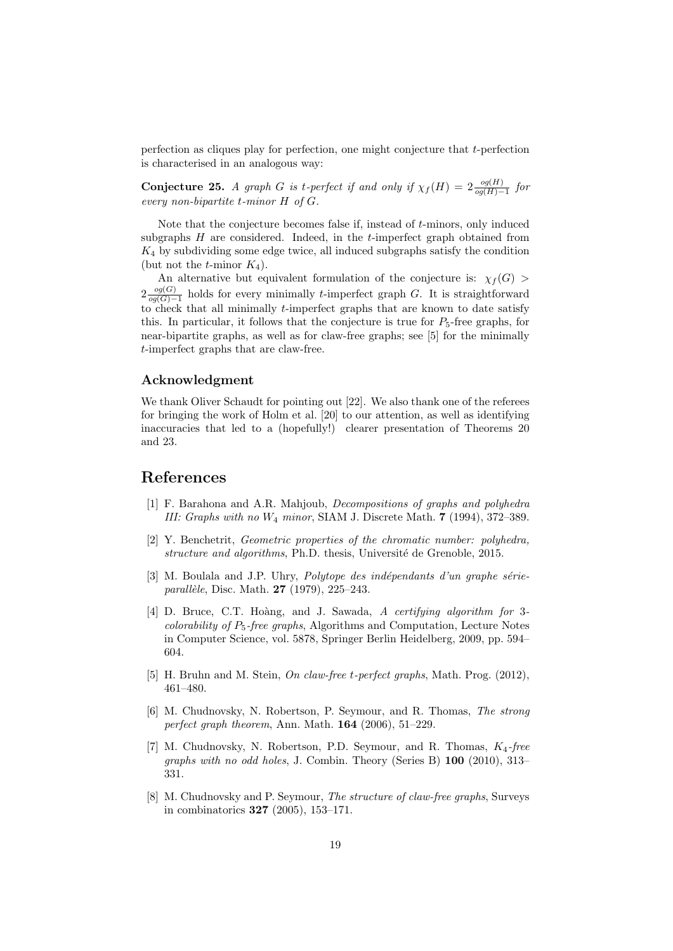perfection as cliques play for perfection, one might conjecture that t-perfection is characterised in an analogous way:

**Conjecture 25.** A graph G is t-perfect if and only if  $\chi_f(H) = 2 \frac{og(H)}{og(H)-1}$  for every non-bipartite t-minor H of G.

Note that the conjecture becomes false if, instead of t-minors, only induced subgraphs  $H$  are considered. Indeed, in the  $t$ -imperfect graph obtained from  $K_4$  by subdividing some edge twice, all induced subgraphs satisfy the condition (but not the *t*-minor  $K_4$ ).

An alternative but equivalent formulation of the conjecture is:  $\chi_f(G)$  $2 \frac{og(G)}{og(G)}$  $\frac{og(G)}{og(G)-1}$  holds for every minimally t-imperfect graph G. It is straightforward to check that all minimally t-imperfect graphs that are known to date satisfy this. In particular, it follows that the conjecture is true for  $P_5$ -free graphs, for near-bipartite graphs, as well as for claw-free graphs; see [5] for the minimally t-imperfect graphs that are claw-free.

#### Acknowledgment

We thank Oliver Schaudt for pointing out [22]. We also thank one of the referees for bringing the work of Holm et al. [20] to our attention, as well as identifying inaccuracies that led to a (hopefully!) clearer presentation of Theorems 20 and 23.

#### References

- [1] F. Barahona and A.R. Mahjoub, Decompositions of graphs and polyhedra III: Graphs with no W<sup>4</sup> minor, SIAM J. Discrete Math. 7 (1994), 372–389.
- [2] Y. Benchetrit, Geometric properties of the chromatic number: polyhedra, structure and algorithms, Ph.D. thesis, Université de Grenoble, 2015.
- [3] M. Boulala and J.P. Uhry, *Polytope des indépendants d'un graphe série*parallèle, Disc. Math. **27** (1979), 225–243.
- [4] D. Bruce, C.T. Hoàng, and J. Sawada, A certifying algorithm for 3*colorability of P<sub>5</sub>-free graphs*, Algorithms and Computation, Lecture Notes in Computer Science, vol. 5878, Springer Berlin Heidelberg, 2009, pp. 594– 604.
- [5] H. Bruhn and M. Stein, *On claw-free t-perfect graphs*, Math. Prog. (2012), 461–480.
- [6] M. Chudnovsky, N. Robertson, P. Seymour, and R. Thomas, The strong perfect graph theorem, Ann. Math. 164 (2006), 51–229.
- [7] M. Chudnovsky, N. Robertson, P.D. Seymour, and R. Thomas,  $K_4$ -free graphs with no odd holes, J. Combin. Theory (Series B) 100 (2010), 313– 331.
- [8] M. Chudnovsky and P. Seymour, The structure of claw-free graphs, Surveys in combinatorics 327 (2005), 153–171.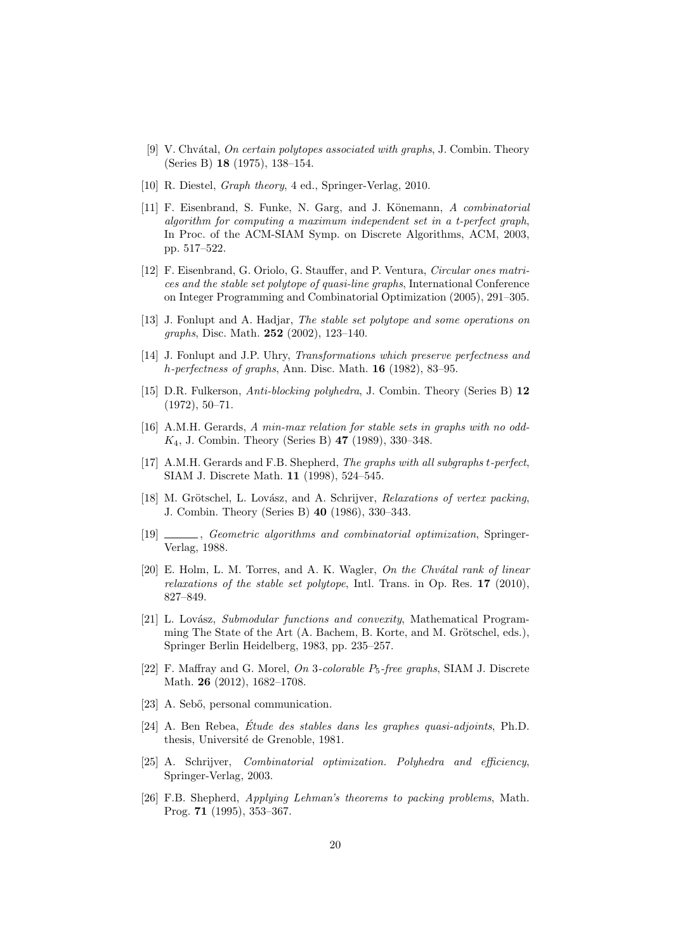- [9] V. Chvátal, On certain polytopes associated with graphs, J. Combin. Theory (Series B) 18 (1975), 138–154.
- [10] R. Diestel, *Graph theory*, 4 ed., Springer-Verlag, 2010.
- [11] F. Eisenbrand, S. Funke, N. Garg, and J. Könemann, A combinatorial algorithm for computing a maximum independent set in a t-perfect graph, In Proc. of the ACM-SIAM Symp. on Discrete Algorithms, ACM, 2003, pp. 517–522.
- [12] F. Eisenbrand, G. Oriolo, G. Stauffer, and P. Ventura, Circular ones matrices and the stable set polytope of quasi-line graphs, International Conference on Integer Programming and Combinatorial Optimization (2005), 291–305.
- [13] J. Fonlupt and A. Hadjar, The stable set polytope and some operations on graphs, Disc. Math. 252 (2002), 123–140.
- [14] J. Fonlupt and J.P. Uhry, Transformations which preserve perfectness and h-perfectness of graphs, Ann. Disc. Math. 16 (1982), 83–95.
- [15] D.R. Fulkerson, Anti-blocking polyhedra, J. Combin. Theory (Series B) 12  $(1972), 50-71.$
- [16] A.M.H. Gerards, A min-max relation for stable sets in graphs with no odd-K4, J. Combin. Theory (Series B) 47 (1989), 330–348.
- [17] A.M.H. Gerards and F.B. Shepherd, The graphs with all subgraphs t-perfect, SIAM J. Discrete Math. 11 (1998), 524–545.
- [18] M. Grötschel, L. Lovász, and A. Schrijver, Relaxations of vertex packing, J. Combin. Theory (Series B) 40 (1986), 330–343.
- [19] , Geometric algorithms and combinatorial optimization, Springer-Verlag, 1988.
- $[20]$  E. Holm, L. M. Torres, and A. K. Wagler, On the Chvátal rank of linear relaxations of the stable set polytope, Intl. Trans. in Op. Res. 17 (2010), 827–849.
- [21] L. Lovász, Submodular functions and convexity, Mathematical Programming The State of the Art  $(A.$  Bachem, B. Korte, and M. Grötschel, eds.), Springer Berlin Heidelberg, 1983, pp. 235–257.
- [22] F. Maffray and G. Morel, On 3-colorable  $P_5$ -free graphs, SIAM J. Discrete Math. 26 (2012), 1682–1708.
- [23] A. Sebő, personal communication.
- $[24]$  A. Ben Rebea, Étude des stables dans les graphes quasi-adjoints, Ph.D. thesis, Université de Grenoble, 1981.
- [25] A. Schrijver, Combinatorial optimization. Polyhedra and efficiency, Springer-Verlag, 2003.
- [26] F.B. Shepherd, Applying Lehman's theorems to packing problems, Math. Prog. 71 (1995), 353–367.